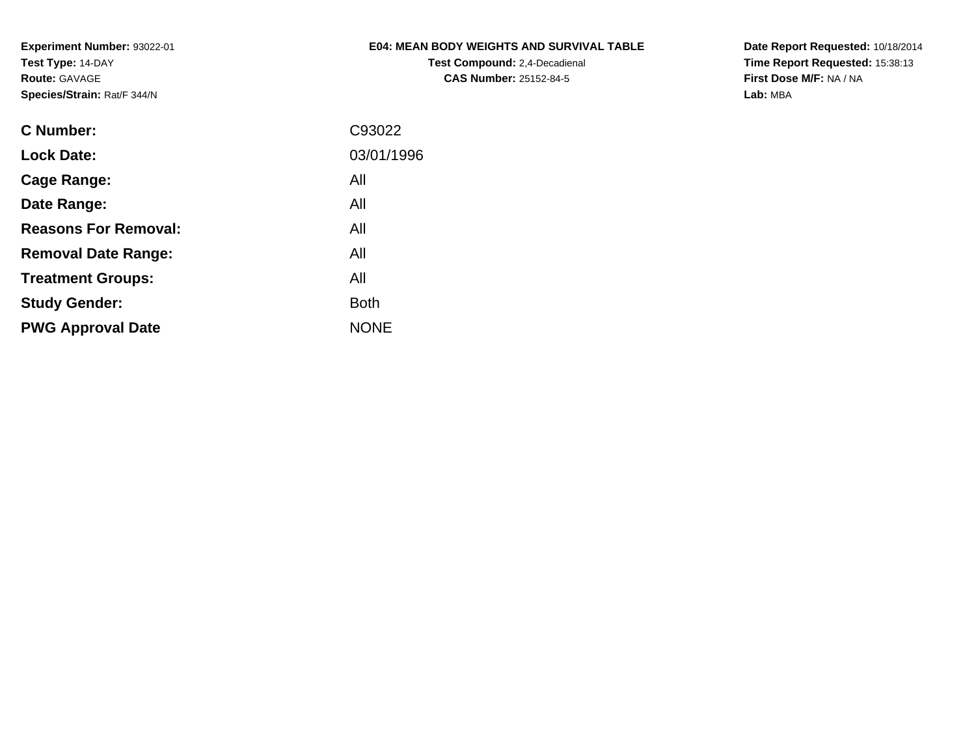## **E04: MEAN BODY WEIGHTS AND SURVIVAL TABLE**

**Test Compound:** 2,4-Decadienal **CAS Number:** 25152-84-5

**Date Report Requested:** 10/18/2014 **Time Report Requested:** 15:38:13**First Dose M/F:** NA / NA**Lab:** MBA

| C Number:                   | C93022      |
|-----------------------------|-------------|
| <b>Lock Date:</b>           | 03/01/1996  |
| Cage Range:                 | All         |
| Date Range:                 | All         |
| <b>Reasons For Removal:</b> | All         |
| <b>Removal Date Range:</b>  | All         |
| <b>Treatment Groups:</b>    | All         |
| <b>Study Gender:</b>        | <b>Both</b> |
| <b>PWG Approval Date</b>    | <b>NONE</b> |
|                             |             |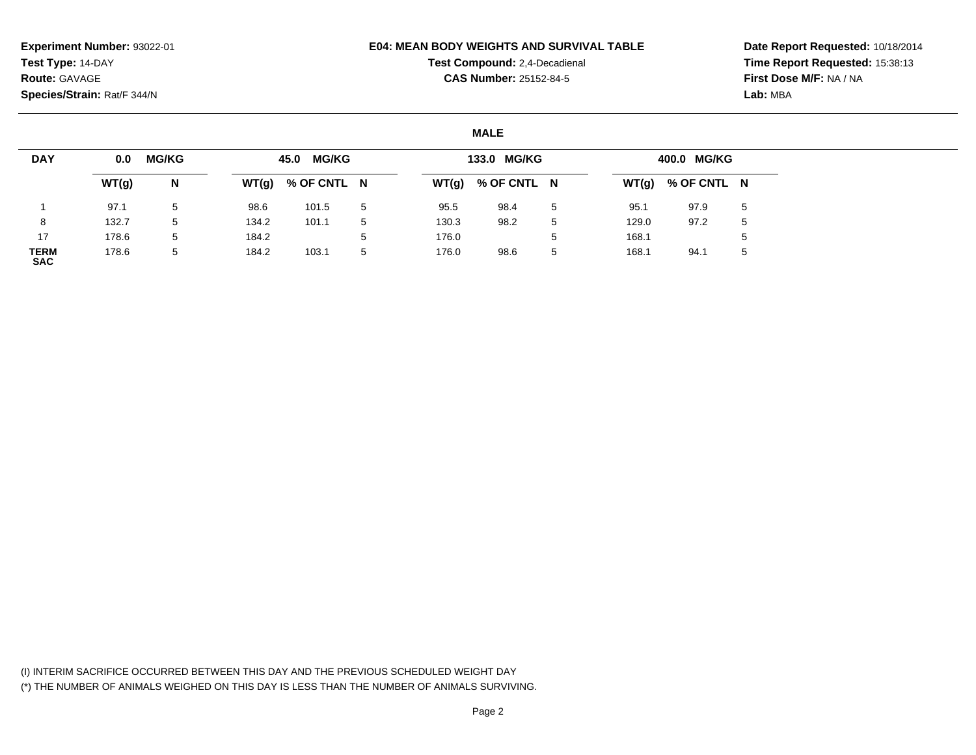#### **E04: MEAN BODY WEIGHTS AND SURVIVAL TABLE**

**Test Compound:** 2,4-Decadienal **CAS Number:** 25152-84-5

**Date Report Requested:** 10/18/2014**Time Report Requested:** 15:38:13**First Dose M/F:** NA / NA**Lab:** MBA

### **MALE**

| <b>DAY</b>         | 0.0   | <b>MG/KG</b> |       | 45.0 MG/KG  |             |       | 133.0 MG/KG         |         |       | 400.0 MG/KG         |   |
|--------------------|-------|--------------|-------|-------------|-------------|-------|---------------------|---------|-------|---------------------|---|
|                    | WT(g) | N            | WT(g) | % OF CNTL N |             |       | $WT(g)$ % OF CNTL N |         |       | $WT(g)$ % OF CNTL N |   |
|                    | 97.1  | 5            | 98.6  | 101.5       | $5^{\circ}$ | 95.5  | 98.4                | 5       | 95.1  | 97.9                | 5 |
| 8                  | 132.7 | 5            | 134.2 | 101.1       | 5           | 130.3 | 98.2                | 5       | 129.0 | 97.2                | 5 |
| 17                 | 178.6 | 5            | 184.2 |             | $5^{\circ}$ | 176.0 |                     | ∽<br>J. | 168.1 |                     |   |
| TERM<br><b>SAC</b> | 178.6 | 5            | 184.2 | 103.1       | 5           | 176.0 | 98.6                | 5       | 168.1 | 94.1                |   |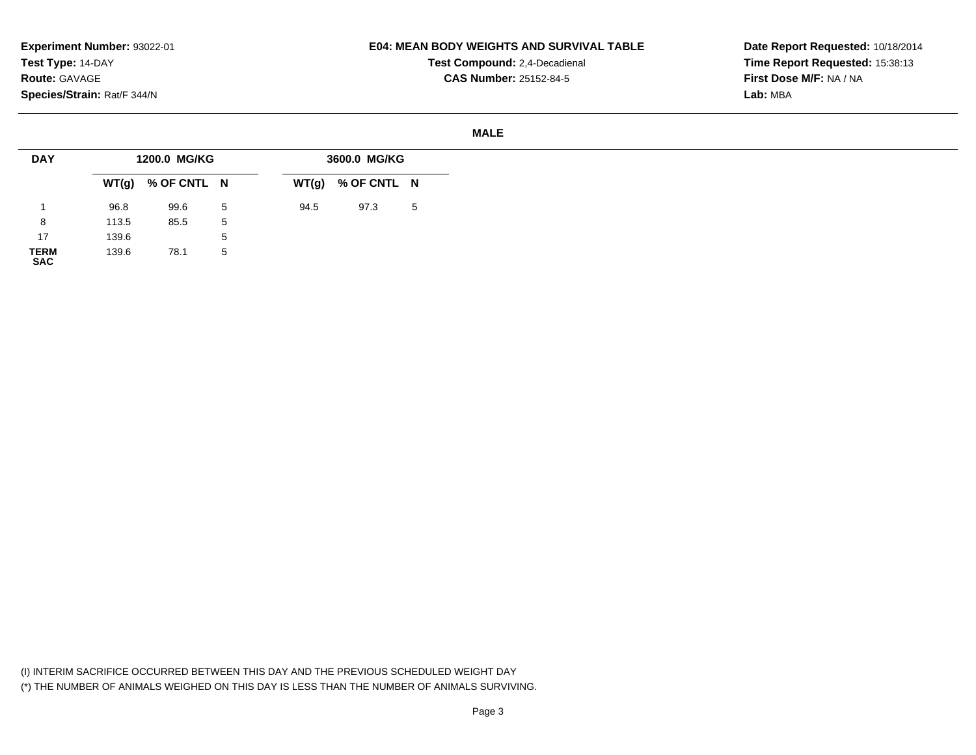## **E04: MEAN BODY WEIGHTS AND SURVIVAL TABLE**

**Test Compound:** 2,4-Decadienal **CAS Number:** 25152-84-5

#### **MALE**

| <b>DAY</b>          |       | 1200.0 MG/KG        |   |      | 3600.0 MG/KG        |   |
|---------------------|-------|---------------------|---|------|---------------------|---|
|                     |       | $WT(g)$ % OF CNTL N |   |      | $WT(g)$ % OF CNTL N |   |
|                     | 96.8  | 99.6                | 5 | 94.5 | 97.3                | 5 |
| 8                   | 113.5 | 85.5                | 5 |      |                     |   |
| 17                  | 139.6 |                     | 5 |      |                     |   |
| <b>TERM</b><br>0.80 | 139.6 | 78.1                | 5 |      |                     |   |

**SAC**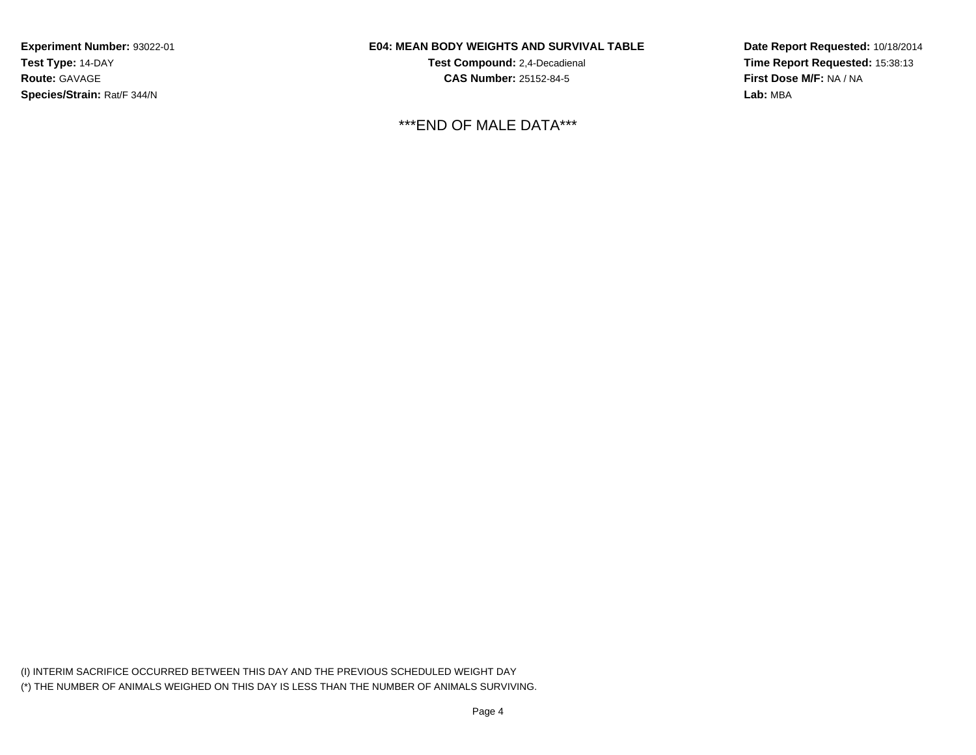## **E04: MEAN BODY WEIGHTS AND SURVIVAL TABLE**

**Test Compound:** 2,4-Decadienal **CAS Number:** 25152-84-5

\*\*\*END OF MALE DATA\*\*\*

**Date Report Requested:** 10/18/2014**Time Report Requested:** 15:38:13**First Dose M/F:** NA / NA**Lab:** MBA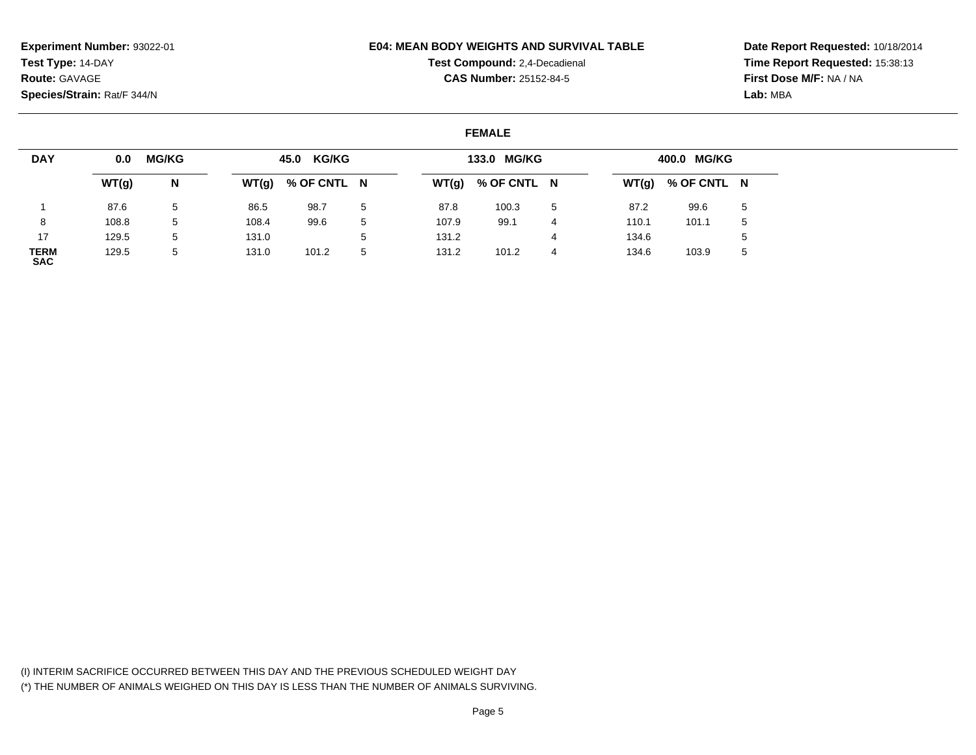#### **E04: MEAN BODY WEIGHTS AND SURVIVAL TABLE**

**Test Compound:** 2,4-Decadienal **CAS Number:** 25152-84-5

**Date Report Requested:** 10/18/2014**Time Report Requested:** 15:38:13**First Dose M/F:** NA / NA**Lab:** MBA

### **FEMALE**

| <b>DAY</b>         | 0.0   | <b>MG/KG</b> |       | 45.0 KG/KG  |   |       | 133.0 MG/KG |   |       | 400.0 MG/KG         |             |
|--------------------|-------|--------------|-------|-------------|---|-------|-------------|---|-------|---------------------|-------------|
|                    | WT(g) | N            | WT(g) | % OF CNTL N |   | WT(g) | % OF CNTL N |   |       | $WT(g)$ % OF CNTL N |             |
|                    | 87.6  | 5            | 86.5  | 98.7        | 5 | 87.8  | 100.3       | 5 | 87.2  | 99.6                | 5           |
|                    | 108.8 | 5            | 108.4 | 99.6        | 5 | 107.9 | 99.1        | 4 | 110.1 | 101.1               | -5          |
| 17                 | 129.5 | 5            | 131.0 |             | 5 | 131.2 |             |   | 134.6 |                     |             |
| TERM<br><b>SAC</b> | 129.5 | 5            | 131.0 | 101.2       | 5 | 131.2 | 101.2       | 4 | 134.6 | 103.9               | $5^{\circ}$ |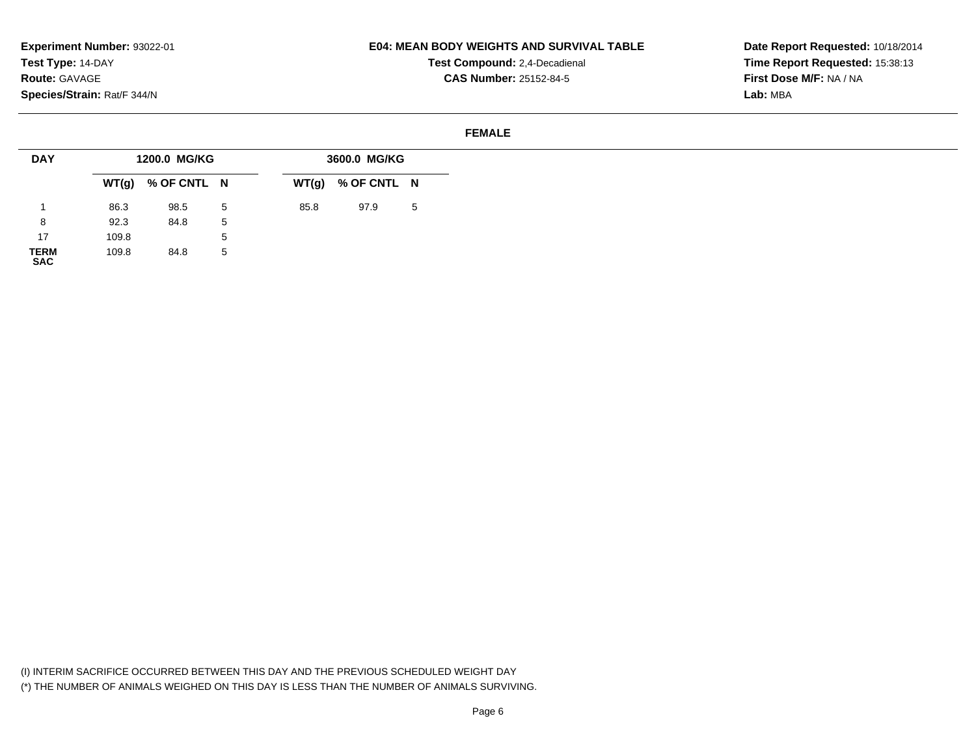## **E04: MEAN BODY WEIGHTS AND SURVIVAL TABLE**

**Test Compound:** 2,4-Decadienal **CAS Number:** 25152-84-5

**Date Report Requested:** 10/18/2014**Time Report Requested:** 15:38:13**First Dose M/F:** NA / NA**Lab:** MBA

#### **FEMALE**

| <b>DAY</b>          |       | 1200.0 MG/KG        |              |      | 3600.0 MG/KG        |    |
|---------------------|-------|---------------------|--------------|------|---------------------|----|
|                     |       | $WT(g)$ % OF CNTL N |              |      | $WT(g)$ % OF CNTL N |    |
|                     | 86.3  | 98.5                | 5            | 85.8 | 97.9                | -5 |
| 8                   | 92.3  | 84.8                | 5            |      |                     |    |
| 17                  | 109.8 |                     | $\mathbf{b}$ |      |                     |    |
| <b>TERM</b><br>0.00 | 109.8 | 84.8                | 5            |      |                     |    |

**SAC**